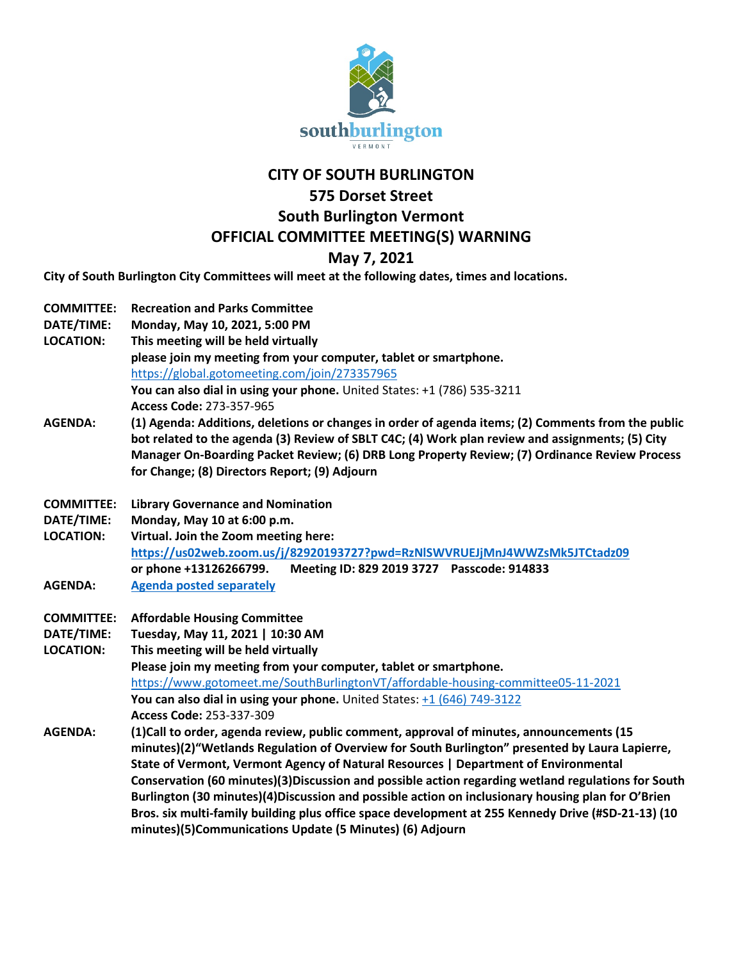

## **CITY OF SOUTH BURLINGTON 575 Dorset Street South Burlington Vermont OFFICIAL COMMITTEE MEETING(S) WARNING May 7, 2021**

**City of South Burlington City Committees will meet at the following dates, times and locations.** 

| <b>COMMITTEE:</b><br>DATE/TIME:<br><b>LOCATION:</b> | <b>Recreation and Parks Committee</b><br>Monday, May 10, 2021, 5:00 PM<br>This meeting will be held virtually<br>please join my meeting from your computer, tablet or smartphone.<br>https://global.gotomeeting.com/join/273357965<br>You can also dial in using your phone. United States: +1 (786) 535-3211<br>Access Code: 273-357-965                |
|-----------------------------------------------------|----------------------------------------------------------------------------------------------------------------------------------------------------------------------------------------------------------------------------------------------------------------------------------------------------------------------------------------------------------|
| <b>AGENDA:</b>                                      | (1) Agenda: Additions, deletions or changes in order of agenda items; (2) Comments from the public<br>bot related to the agenda (3) Review of SBLT C4C; (4) Work plan review and assignments; (5) City<br>Manager On-Boarding Packet Review; (6) DRB Long Property Review; (7) Ordinance Review Process<br>for Change; (8) Directors Report; (9) Adjourn |
| <b>COMMITTEE:</b>                                   | <b>Library Governance and Nomination</b>                                                                                                                                                                                                                                                                                                                 |
| DATE/TIME:                                          | Monday, May 10 at 6:00 p.m.                                                                                                                                                                                                                                                                                                                              |
| <b>LOCATION:</b>                                    | Virtual. Join the Zoom meeting here:                                                                                                                                                                                                                                                                                                                     |
|                                                     | https://us02web.zoom.us/j/82920193727?pwd=RzNISWVRUEJjMnJ4WWZsMk5JTCtadz09                                                                                                                                                                                                                                                                               |
|                                                     | Meeting ID: 829 2019 3727 Passcode: 914833<br>or phone +13126266799.                                                                                                                                                                                                                                                                                     |
| <b>AGENDA:</b>                                      | <b>Agenda posted separately</b>                                                                                                                                                                                                                                                                                                                          |
| <b>COMMITTEE:</b>                                   | <b>Affordable Housing Committee</b>                                                                                                                                                                                                                                                                                                                      |
| DATE/TIME:                                          | Tuesday, May 11, 2021   10:30 AM                                                                                                                                                                                                                                                                                                                         |
| <b>LOCATION:</b>                                    | This meeting will be held virtually                                                                                                                                                                                                                                                                                                                      |
|                                                     | Please join my meeting from your computer, tablet or smartphone.                                                                                                                                                                                                                                                                                         |
|                                                     | https://www.gotomeet.me/SouthBurlingtonVT/affordable-housing-committee05-11-2021                                                                                                                                                                                                                                                                         |
|                                                     | You can also dial in using your phone. United States: $+1$ (646) 749-3122                                                                                                                                                                                                                                                                                |
|                                                     | Access Code: 253-337-309                                                                                                                                                                                                                                                                                                                                 |
| <b>AGENDA:</b>                                      | (1) Call to order, agenda review, public comment, approval of minutes, announcements (15<br>minutes)(2) "Wetlands Regulation of Overview for South Burlington" presented by Laura Lapierre,                                                                                                                                                              |
|                                                     | State of Vermont, Vermont Agency of Natural Resources   Department of Environmental                                                                                                                                                                                                                                                                      |
|                                                     | Conservation (60 minutes)(3)Discussion and possible action regarding wetland regulations for South                                                                                                                                                                                                                                                       |
|                                                     | Burlington (30 minutes)(4)Discussion and possible action on inclusionary housing plan for O'Brien                                                                                                                                                                                                                                                        |
|                                                     | Bros. six multi-family building plus office space development at 255 Kennedy Drive (#SD-21-13) (10                                                                                                                                                                                                                                                       |
|                                                     | minutes)(5)Communications Update (5 Minutes) (6) Adjourn                                                                                                                                                                                                                                                                                                 |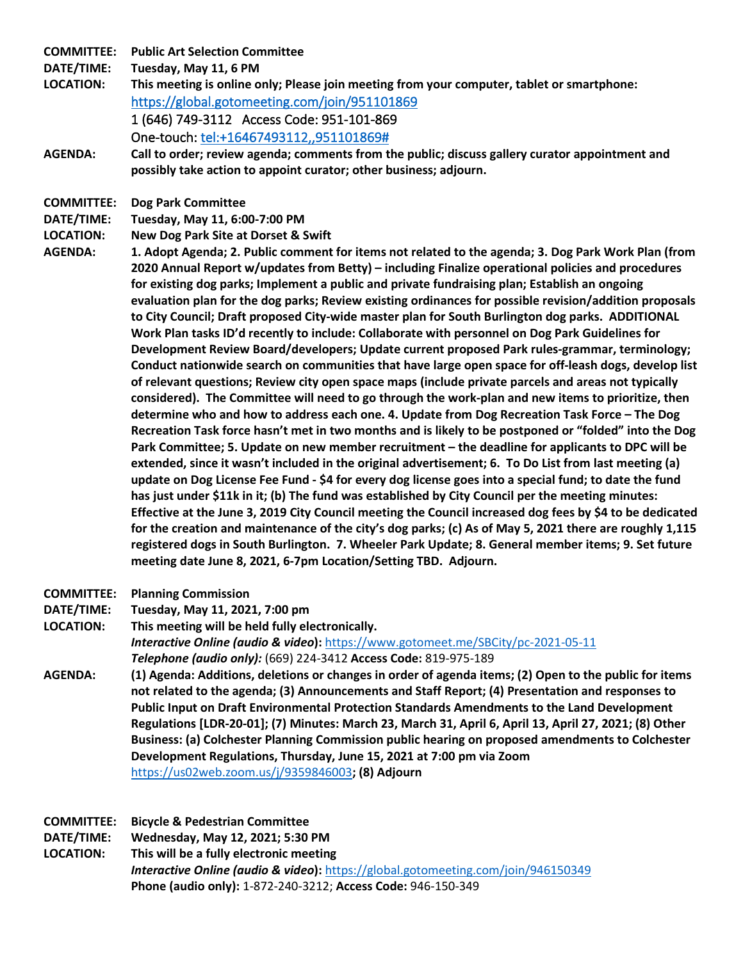**COMMITTEE: Public Art Selection Committee**

**DATE/TIME: Tuesday, May 11, 6 PM**

- **LOCATION: This meeting is online only; Please join meeting from your computer, tablet or smartphone:**  <https://global.gotomeeting.com/join/951101869> 1 (646) 749-3112 Access Code: 951-101-869 One-touch: [tel:+16467493112,,951101869#](tel:+16467493112,,951101869)
- **AGENDA: Call to order; review agenda; comments from the public; discuss gallery curator appointment and possibly take action to appoint curator; other business; adjourn.**
- **COMMITTEE: Dog Park Committee**
- **DATE/TIME: Tuesday, May 11, 6:00-7:00 PM**
- **LOCATION: New Dog Park Site at Dorset & Swift**
- **AGENDA: 1. Adopt Agenda; 2. Public comment for items not related to the agenda; 3. Dog Park Work Plan (from 2020 Annual Report w/updates from Betty) – including Finalize operational policies and procedures for existing dog parks; Implement a public and private fundraising plan; Establish an ongoing evaluation plan for the dog parks; Review existing ordinances for possible revision/addition proposals to City Council; Draft proposed City-wide master plan for South Burlington dog parks. ADDITIONAL Work Plan tasks ID'd recently to include: Collaborate with personnel on Dog Park Guidelines for Development Review Board/developers; Update current proposed Park rules-grammar, terminology; Conduct nationwide search on communities that have large open space for off-leash dogs, develop list of relevant questions; Review city open space maps (include private parcels and areas not typically considered). The Committee will need to go through the work-plan and new items to prioritize, then determine who and how to address each one. 4. Update from Dog Recreation Task Force – The Dog Recreation Task force hasn't met in two months and is likely to be postponed or "folded" into the Dog Park Committee; 5. Update on new member recruitment – the deadline for applicants to DPC will be extended, since it wasn't included in the original advertisement; 6. To Do List from last meeting (a) update on Dog License Fee Fund - \$4 for every dog license goes into a special fund; to date the fund has just under \$11k in it; (b) The fund was established by City Council per the meeting minutes: Effective at the June 3, 2019 City Council meeting the Council increased dog fees by \$4 to be dedicated for the creation and maintenance of the city's dog parks; (c) As of May 5, 2021 there are roughly 1,115 registered dogs in South Burlington. 7. Wheeler Park Update; 8. General member items; 9. Set future meeting date June 8, 2021, 6-7pm Location/Setting TBD. Adjourn.**
- **COMMITTEE: Planning Commission**
- **DATE/TIME: Tuesday, May 11, 2021, 7:00 pm**
- **LOCATION: This meeting will be held fully electronically.** *Interactive Online (audio & video***):** <https://www.gotomeet.me/SBCity/pc-2021-05-11> *Telephone (audio only):* (669) 224-3412 **Access Code:** 819-975-189
- **[AGENDA: \(](https://sbvt-records.info/WebLink/DocView.aspx?id=223125&dbid=0&repo=sburl)1) Agenda: Additions, deletions or changes in order of agenda items; (2) Open to the public for items not related to the agenda; (3) Announcements and Staff Report; (4) Presentation and responses to Public Input on Draft Environmental Protection Standards Amendments to the Land Development Regulations [LDR-20-01]; (7) Minutes: March 23, March 31, April 6, April 13, April 27, 2021; (8) Other Business: (a) Colchester Planning Commission public hearing on proposed amendments to Colchester Development Regulations, Thursday, June 15, 2021 at 7:00 pm via Zoom** <https://us02web.zoom.us/j/9359846003>**; (8) Adjourn**
- **COMMITTEE: Bicycle & Pedestrian Committee**

**DATE/TIME: Wednesday, May 12, 2021; 5:30 PM**

**LOCATION: This will be a fully electronic meeting**

*Interactive Online (audio & video***):** <https://global.gotomeeting.com/join/946150349> **Phone (audio only):** 1-872-240-3212; **Access Code:** 946-150-349